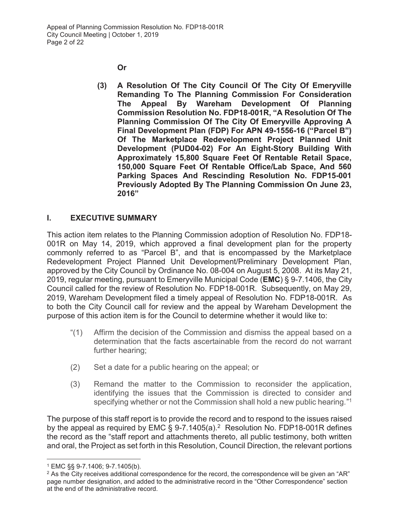#### **Or**

**(3) A Resolution Of The City Council Of The City Of Emeryville Remanding To The Planning Commission For Consideration The Appeal By Wareham Development Of Planning Commission Resolution No. FDP18-001R, "A Resolution Of The Planning Commission Of The City Of Emeryville Approving A Final Development Plan (FDP) For APN 49-1556-16 ("Parcel B") Of The Marketplace Redevelopment Project Planned Unit Development (PUD04-02) For An Eight-Story Building With Approximately 15,800 Square Feet Of Rentable Retail Space, 150,000 Square Feet Of Rentable Office/Lab Space, And 560 Parking Spaces And Rescinding Resolution No. FDP15-001 Previously Adopted By The Planning Commission On June 23, 2016"**

# **I. EXECUTIVE SUMMARY**

This action item relates to the Planning Commission adoption of Resolution No. FDP18- 001R on May 14, 2019, which approved a final development plan for the property commonly referred to as "Parcel B", and that is encompassed by the Marketplace Redevelopment Project Planned Unit Development/Preliminary Development Plan, approved by the City Council by Ordinance No. 08-004 on August 5, 2008. At its May 21, 2019, regular meeting, pursuant to Emeryville Municipal Code (**EMC**) § 9-7.1406, the City Council called for the review of Resolution No. FDP18-001R. Subsequently, on May 29, 2019, Wareham Development filed a timely appeal of Resolution No. FDP18-001R. As to both the City Council call for review and the appeal by Wareham Development the purpose of this action item is for the Council to determine whether it would like to:

- "(1) Affirm the decision of the Commission and dismiss the appeal based on a determination that the facts ascertainable from the record do not warrant further hearing;
- (2) Set a date for a public hearing on the appeal; or
- (3) Remand the matter to the Commission to reconsider the application, identifying the issues that the Commission is directed to consider and specifying whether or not the Commission shall hold a new public hearing."<sup>1</sup>

The purpose of this staff report is to provide the record and to respond to the issues raised by the appeal as required by EMC  $\S$  9-7.1405(a).<sup>2</sup> Resolution No. FDP18-001R defines the record as the "staff report and attachments thereto, all public testimony, both written and oral, the Project as set forth in this Resolution, Council Direction, the relevant portions

<sup>1</sup> EMC §§ 9-7.1406; 9-7.1405(b).

 $2$  As the City receives additional correspondence for the record, the correspondence will be given an "AR" page number designation, and added to the administrative record in the "Other Correspondence" section at the end of the administrative record.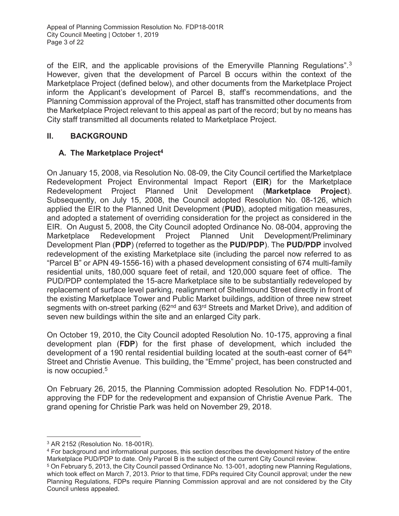of the EIR, and the applicable provisions of the Emeryville Planning Regulations".<sup>3</sup> However, given that the development of Parcel B occurs within the context of the Marketplace Project (defined below), and other documents from the Marketplace Project inform the Applicant's development of Parcel B, staff's recommendations, and the Planning Commission approval of the Project, staff has transmitted other documents from the Marketplace Project relevant to this appeal as part of the record; but by no means has City staff transmitted all documents related to Marketplace Project.

#### **II. BACKGROUND**

# **A. The Marketplace Project4**

On January 15, 2008, via Resolution No. 08-09, the City Council certified the Marketplace Redevelopment Project Environmental Impact Report (**EIR**) for the Marketplace Redevelopment Project Planned Unit Development (**Marketplace Project**). Subsequently, on July 15, 2008, the Council adopted Resolution No. 08-126, which applied the EIR to the Planned Unit Development (**PUD**), adopted mitigation measures, and adopted a statement of overriding consideration for the project as considered in the EIR. On August 5, 2008, the City Council adopted Ordinance No. 08-004, approving the Marketplace Redevelopment Project Planned Unit Development/Preliminary Development Plan (**PDP**) (referred to together as the **PUD/PDP**). The **PUD/PDP** involved redevelopment of the existing Marketplace site (including the parcel now referred to as "Parcel B" or APN 49-1556-16) with a phased development consisting of 674 multi-family residential units, 180,000 square feet of retail, and 120,000 square feet of office. The PUD/PDP contemplated the 15-acre Marketplace site to be substantially redeveloped by replacement of surface level parking, realignment of Shellmound Street directly in front of the existing Marketplace Tower and Public Market buildings, addition of three new street segments with on-street parking (62<sup>nd</sup> and 63<sup>rd</sup> Streets and Market Drive), and addition of seven new buildings within the site and an enlarged City park.

On October 19, 2010, the City Council adopted Resolution No. 10-175, approving a final development plan (**FDP**) for the first phase of development, which included the development of a 190 rental residential building located at the south-east corner of 64<sup>th</sup> Street and Christie Avenue. This building, the "Emme" project, has been constructed and is now occupied.<sup>5</sup>

On February 26, 2015, the Planning Commission adopted Resolution No. FDP14-001, approving the FDP for the redevelopment and expansion of Christie Avenue Park. The grand opening for Christie Park was held on November 29, 2018.

<sup>3</sup> AR 2152 (Resolution No. 18-001R).

<sup>4</sup> For background and informational purposes, this section describes the development history of the entire Marketplace PUD/PDP to date. Only Parcel B is the subject of the current City Council review.

<sup>5</sup> On February 5, 2013, the City Council passed Ordinance No. 13-001, adopting new Planning Regulations, which took effect on March 7, 2013. Prior to that time, FDPs required City Council approval; under the new Planning Regulations, FDPs require Planning Commission approval and are not considered by the City Council unless appealed.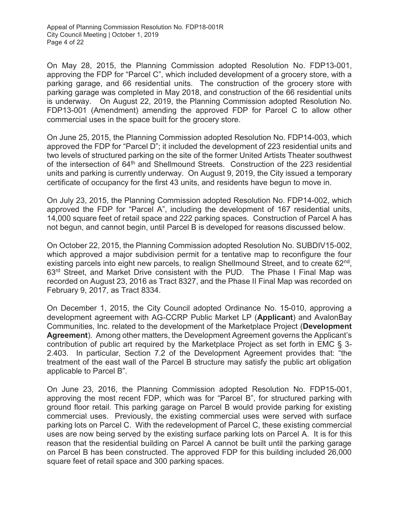On May 28, 2015, the Planning Commission adopted Resolution No. FDP13-001, approving the FDP for "Parcel C", which included development of a grocery store, with a parking garage, and 66 residential units. The construction of the grocery store with parking garage was completed in May 2018, and construction of the 66 residential units is underway. On August 22, 2019, the Planning Commission adopted Resolution No. FDP13-001 (Amendment) amending the approved FDP for Parcel C to allow other commercial uses in the space built for the grocery store.

On June 25, 2015, the Planning Commission adopted Resolution No. FDP14-003, which approved the FDP for "Parcel D"; it included the development of 223 residential units and two levels of structured parking on the site of the former United Artists Theater southwest of the intersection of 64<sup>th</sup> and Shellmound Streets. Construction of the 223 residential units and parking is currently underway. On August 9, 2019, the City issued a temporary certificate of occupancy for the first 43 units, and residents have begun to move in.

On July 23, 2015, the Planning Commission adopted Resolution No. FDP14-002, which approved the FDP for "Parcel A", including the development of 167 residential units, 14,000 square feet of retail space and 222 parking spaces. Construction of Parcel A has not begun, and cannot begin, until Parcel B is developed for reasons discussed below.

On October 22, 2015, the Planning Commission adopted Resolution No. SUBDIV15-002, which approved a major subdivision permit for a tentative map to reconfigure the four existing parcels into eight new parcels, to realign Shellmound Street, and to create  $62<sup>nd</sup>$ , 63<sup>rd</sup> Street, and Market Drive consistent with the PUD. The Phase I Final Map was recorded on August 23, 2016 as Tract 8327, and the Phase II Final Map was recorded on February 9, 2017, as Tract 8334.

On December 1, 2015, the City Council adopted Ordinance No. 15-010, approving a development agreement with AG-CCRP Public Market LP (**Applicant**) and AvalonBay Communities, Inc. related to the development of the Marketplace Project (**Development Agreement**). Among other matters, the Development Agreement governs the Applicant's contribution of public art required by the Marketplace Project as set forth in EMC § 3- 2.403. In particular, Section 7.2 of the Development Agreement provides that: "the treatment of the east wall of the Parcel B structure may satisfy the public art obligation applicable to Parcel B".

On June 23, 2016, the Planning Commission adopted Resolution No. FDP15-001, approving the most recent FDP, which was for "Parcel B", for structured parking with ground floor retail. This parking garage on Parcel B would provide parking for existing commercial uses. Previously, the existing commercial uses were served with surface parking lots on Parcel C. With the redevelopment of Parcel C, these existing commercial uses are now being served by the existing surface parking lots on Parcel A. It is for this reason that the residential building on Parcel A cannot be built until the parking garage on Parcel B has been constructed. The approved FDP for this building included 26,000 square feet of retail space and 300 parking spaces.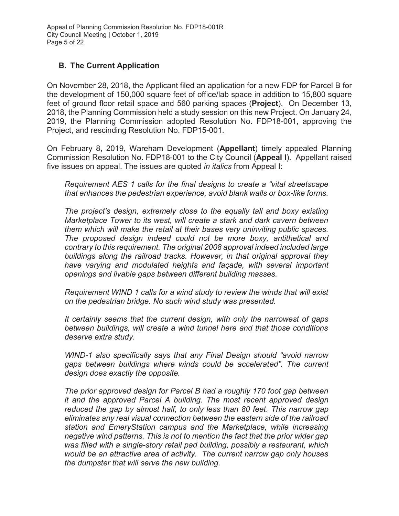# **B. The Current Application**

On November 28, 2018, the Applicant filed an application for a new FDP for Parcel B for the development of 150,000 square feet of office/lab space in addition to 15,800 square feet of ground floor retail space and 560 parking spaces (**Project**). On December 13, 2018, the Planning Commission held a study session on this new Project. On January 24, 2019, the Planning Commission adopted Resolution No. FDP18-001, approving the Project, and rescinding Resolution No. FDP15-001.

On February 8, 2019, Wareham Development (**Appellant**) timely appealed Planning Commission Resolution No. FDP18-001 to the City Council (**Appeal I**). Appellant raised five issues on appeal. The issues are quoted *in italics* from Appeal I:

*Requirement AES 1 calls for the final designs to create a "vital streetscape that enhances the pedestrian experience, avoid blank walls or box-like forms.* 

*The project's design, extremely close to the equally tall and boxy existing Marketplace Tower to its west, will create a stark and dark cavern between them which will make the retail at their bases very uninviting public spaces. The proposed design indeed could not be more boxy, antithetical and contrary to this requirement. The original 2008 approval indeed included large buildings along the railroad tracks. However, in that original approval they have varying and modulated heights and façade, with several important openings and livable gaps between different building masses.* 

*Requirement WIND 1 calls for a wind study to review the winds that will exist on the pedestrian bridge. No such wind study was presented.* 

*It certainly seems that the current design, with only the narrowest of gaps between buildings, will create a wind tunnel here and that those conditions deserve extra study.* 

*WIND-1 also specifically says that any Final Design should "avoid narrow gaps between buildings where winds could be accelerated". The current design does exactly the opposite.* 

*The prior approved design for Parcel B had a roughly 170 foot gap between it and the approved Parcel A building. The most recent approved design reduced the gap by almost half, to only less than 80 feet. This narrow gap eliminates any real visual connection between the eastern side of the railroad station and EmeryStation campus and the Marketplace, while increasing negative wind patterns. This is not to mention the fact that the prior wider gap was filled with a single-story retail pad building, possibly a restaurant, which would be an attractive area of activity. The current narrow gap only houses the dumpster that will serve the new building.*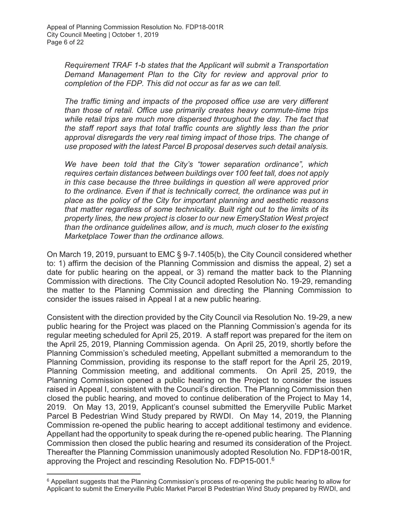*Requirement TRAF 1-b states that the Applicant will submit a Transportation Demand Management Plan to the City for review and approval prior to completion of the FDP. This did not occur as far as we can tell.* 

*The traffic timing and impacts of the proposed office use are very different than those of retail. Office use primarily creates heavy commute-time trips while retail trips are much more dispersed throughout the day. The fact that the staff report says that total traffic counts are slightly less than the prior approval disregards the very real timing impact of those trips. The change of use proposed with the latest Parcel B proposal deserves such detail analysis.* 

*We have been told that the City's "tower separation ordinance", which requires certain distances between buildings over 100 feet tall, does not apply in this case because the three buildings in question all were approved prior to the ordinance. Even if that is technically correct, the ordinance was put in place as the policy of the City for important planning and aesthetic reasons that matter regardless of some technicality. Built right out to the limits of its property lines, the new project is closer to our new EmeryStation West project than the ordinance guidelines allow, and is much, much closer to the existing Marketplace Tower than the ordinance allows.*

On March 19, 2019, pursuant to EMC § 9-7.1405(b), the City Council considered whether to: 1) affirm the decision of the Planning Commission and dismiss the appeal, 2) set a date for public hearing on the appeal, or 3) remand the matter back to the Planning Commission with directions. The City Council adopted Resolution No. 19-29, remanding the matter to the Planning Commission and directing the Planning Commission to consider the issues raised in Appeal I at a new public hearing.

Consistent with the direction provided by the City Council via Resolution No. 19-29, a new public hearing for the Project was placed on the Planning Commission's agenda for its regular meeting scheduled for April 25, 2019. A staff report was prepared for the item on the April 25, 2019, Planning Commission agenda. On April 25, 2019, shortly before the Planning Commission's scheduled meeting, Appellant submitted a memorandum to the Planning Commission, providing its response to the staff report for the April 25, 2019, Planning Commission meeting, and additional comments. On April 25, 2019, the Planning Commission opened a public hearing on the Project to consider the issues raised in Appeal I, consistent with the Council's direction. The Planning Commission then closed the public hearing, and moved to continue deliberation of the Project to May 14, 2019. On May 13, 2019, Applicant's counsel submitted the Emeryville Public Market Parcel B Pedestrian Wind Study prepared by RWDI. On May 14, 2019, the Planning Commission re-opened the public hearing to accept additional testimony and evidence. Appellant had the opportunity to speak during the re-opened public hearing. The Planning Commission then closed the public hearing and resumed its consideration of the Project. Thereafter the Planning Commission unanimously adopted Resolution No. FDP18-001R, approving the Project and rescinding Resolution No. FDP15-001.6

 $\overline{a}$  $6$  Appellant suggests that the Planning Commission's process of re-opening the public hearing to allow for Applicant to submit the Emeryville Public Market Parcel B Pedestrian Wind Study prepared by RWDI, and AR3711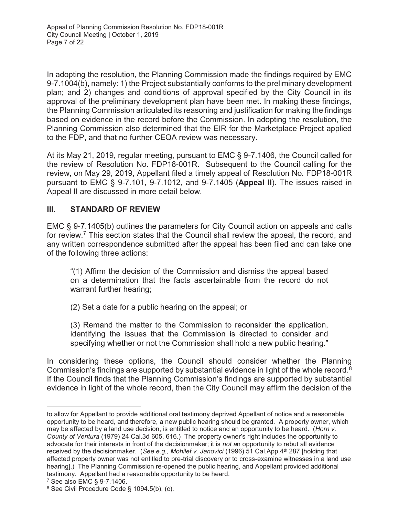In adopting the resolution, the Planning Commission made the findings required by EMC 9-7.1004(b), namely: 1) the Project substantially conforms to the preliminary development plan; and 2) changes and conditions of approval specified by the City Council in its approval of the preliminary development plan have been met. In making these findings, the Planning Commission articulated its reasoning and justification for making the findings based on evidence in the record before the Commission. In adopting the resolution, the Planning Commission also determined that the EIR for the Marketplace Project applied to the FDP, and that no further CEQA review was necessary.

At its May 21, 2019, regular meeting, pursuant to EMC § 9-7.1406, the Council called for the review of Resolution No. FDP18-001R. Subsequent to the Council calling for the review, on May 29, 2019, Appellant filed a timely appeal of Resolution No. FDP18-001R pursuant to EMC § 9-7.101, 9-7.1012, and 9-7.1405 (**Appeal II**). The issues raised in Appeal II are discussed in more detail below.

# **III. STANDARD OF REVIEW**

EMC § 9-7.1405(b) outlines the parameters for City Council action on appeals and calls for review.<sup>7</sup> This section states that the Council shall review the appeal, the record, and any written correspondence submitted after the appeal has been filed and can take one of the following three actions:

"(1) Affirm the decision of the Commission and dismiss the appeal based on a determination that the facts ascertainable from the record do not warrant further hearing;

(2) Set a date for a public hearing on the appeal; or

(3) Remand the matter to the Commission to reconsider the application, identifying the issues that the Commission is directed to consider and specifying whether or not the Commission shall hold a new public hearing."

In considering these options, the Council should consider whether the Planning Commission's findings are supported by substantial evidence in light of the whole record.8 If the Council finds that the Planning Commission's findings are supported by substantial evidence in light of the whole record, then the City Council may affirm the decision of the

 $\overline{a}$ to allow for Appellant to provide additional oral testimony deprived Appellant of notice and a reasonable opportunity to be heard, and therefore, a new public hearing should be granted. A property owner, which may be affected by a land use decision, is entitled to notice and an opportunity to be heard. (*Horn v. County of Ventura* (1979) 24 Cal.3d 605, 616.) The property owner's right includes the opportunity to advocate for their interests in front of the decisionmaker; it is *not a*n opportunity to rebut all evidence received by the decisionmaker. (*See e.g., Mohilef v. Janovici* (1996) 51 Cal.App.4th 287 [holding that affected property owner was not entitled to pre-trial discovery or to cross-examine witnesses in a land use hearing].) The Planning Commission re-opened the public hearing, and Appellant provided additional testimony. Appellant had a reasonable opportunity to be heard.

<sup>7</sup> See also EMC § 9-7.1406.

<sup>8</sup> See Civil Procedure Code § 1094.5(b), (c).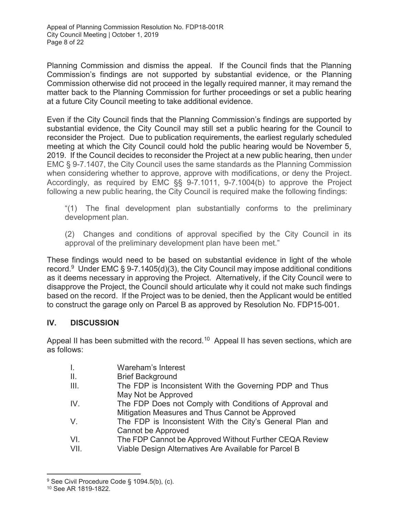Planning Commission and dismiss the appeal. If the Council finds that the Planning Commission's findings are not supported by substantial evidence, or the Planning Commission otherwise did not proceed in the legally required manner, it may remand the matter back to the Planning Commission for further proceedings or set a public hearing at a future City Council meeting to take additional evidence.

Even if the City Council finds that the Planning Commission's findings are supported by substantial evidence, the City Council may still set a public hearing for the Council to reconsider the Project. Due to publication requirements, the earliest regularly scheduled meeting at which the City Council could hold the public hearing would be November 5, 2019. If the Council decides to reconsider the Project at a new public hearing, then under EMC § 9-7.1407, the City Council uses the same standards as the Planning Commission when considering whether to approve, approve with modifications, or deny the Project. Accordingly, as required by EMC §§ 9-7.1011, 9-7.1004(b) to approve the Project following a new public hearing, the City Council is required make the following findings:

"(1) The final development plan substantially conforms to the preliminary development plan.

(2) Changes and conditions of approval specified by the City Council in its approval of the preliminary development plan have been met."

These findings would need to be based on substantial evidence in light of the whole record.<sup>9</sup> Under EMC § 9-7.1405(d)(3), the City Council may impose additional conditions as it deems necessary in approving the Project. Alternatively, if the City Council were to disapprove the Project, the Council should articulate why it could not make such findings based on the record. If the Project was to be denied, then the Applicant would be entitled to construct the garage only on Parcel B as approved by Resolution No. FDP15-001.

# **IV. DISCUSSION**

Appeal II has been submitted with the record.<sup>10</sup> Appeal II has seven sections, which are as follows:

- I. Wareham's Interest
- II. Brief Background
- III. The FDP is Inconsistent With the Governing PDP and Thus May Not be Approved
- IV. The FDP Does not Comply with Conditions of Approval and Mitigation Measures and Thus Cannot be Approved
- V. The FDP is Inconsistent With the City's General Plan and Cannot be Approved
- VI. The FDP Cannot be Approved Without Further CEQA Review
- VII. Viable Design Alternatives Are Available for Parcel B

<sup>&</sup>lt;sup>9</sup> See Civil Procedure Code § 1094.5(b), (c).

<sup>10</sup> See AR 1819-1822.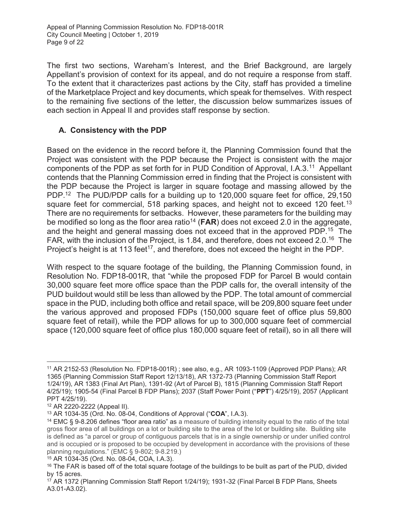The first two sections, Wareham's Interest, and the Brief Background, are largely Appellant's provision of context for its appeal, and do not require a response from staff. To the extent that it characterizes past actions by the City, staff has provided a timeline of the Marketplace Project and key documents, which speak for themselves. With respect to the remaining five sections of the letter, the discussion below summarizes issues of each section in Appeal II and provides staff response by section.

# **A. Consistency with the PDP**

Based on the evidence in the record before it, the Planning Commission found that the Project was consistent with the PDP because the Project is consistent with the major components of the PDP as set forth for in PUD Condition of Approval, I.A.3.11 Appellant contends that the Planning Commission erred in finding that the Project is consistent with the PDP because the Project is larger in square footage and massing allowed by the PDP.12 The PUD/PDP calls for a building up to 120,000 square feet for office, 29,150 square feet for commercial, 518 parking spaces, and height not to exceed 120 feet.<sup>13</sup> There are no requirements for setbacks. However, these parameters for the building may be modified so long as the floor area ratio<sup>14</sup> (**FAR**) does not exceed 2.0 in the aggregate, and the height and general massing does not exceed that in the approved PDP.<sup>15</sup> The FAR, with the inclusion of the Project, is 1.84, and therefore, does not exceed 2.0.16 The Project's height is at 113 feet<sup>17</sup>, and therefore, does not exceed the height in the PDP.

With respect to the square footage of the building, the Planning Commission found, in Resolution No. FDP18-001R, that "while the proposed FDP for Parcel B would contain 30,000 square feet more office space than the PDP calls for, the overall intensity of the PUD buildout would still be less than allowed by the PDP. The total amount of commercial space in the PUD, including both office and retail space, will be 209,800 square feet under the various approved and proposed FDPs (150,000 square feet of office plus 59,800 square feet of retail), while the PDP allows for up to 300,000 square feet of commercial space (120,000 square feet of office plus 180,000 square feet of retail), so in all there will

<sup>11</sup> AR 2152-53 (Resolution No. FDP18-001R) ; see also, e.g., AR 1093-1109 (Approved PDP Plans); AR 1365 (Planning Commission Staff Report 12/13/18), AR 1372-73 (Planning Commission Staff Report 1/24/19), AR 1383 (Final Art Plan), 1391-92 (Art of Parcel B), 1815 (Planning Commission Staff Report 4/25/19); 1905-54 (Final Parcel B FDP Plans); 2037 (Staff Power Point ("**PPT**") 4/25/19), 2057 (Applicant PPT 4/25/19).

<sup>12</sup> AR 2220-2222 (Appeal II).

<sup>13</sup> AR 1034-35 (Ord. No. 08-04, Conditions of Approval ("**COA**", I.A.3).

<sup>14</sup> EMC § 9-8.206 defines "floor area ratio" as a measure of building intensity equal to the ratio of the total gross floor area of all buildings on a lot or building site to the area of the lot or building site. Building site is defined as "a parcel or group of contiguous parcels that is in a single ownership or under unified control and is occupied or is proposed to be occupied by development in accordance with the provisions of these planning regulations." (EMC § 9-802; 9-8.219.)

<sup>15</sup> AR 1034-35 (Ord. No. 08-04, COA, I.A.3).

<sup>&</sup>lt;sup>16</sup> The FAR is based off of the total square footage of the buildings to be built as part of the PUD, divided by 15 acres.

<sup>17</sup> AR 1372 (Planning Commission Staff Report 1/24/19); 1931-32 (Final Parcel B FDP Plans, Sheets A3.01-A3.02).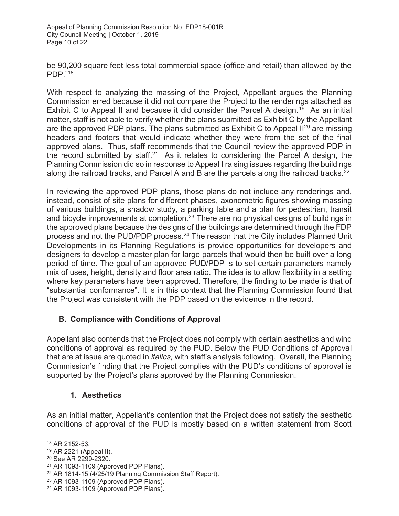be 90,200 square feet less total commercial space (office and retail) than allowed by the PDP." 18

With respect to analyzing the massing of the Project, Appellant argues the Planning Commission erred because it did not compare the Project to the renderings attached as Exhibit C to Appeal II and because it did consider the Parcel A design.<sup>19</sup> As an initial matter, staff is not able to verify whether the plans submitted as Exhibit C by the Appellant are the approved PDP plans. The plans submitted as Exhibit C to Appeal  $II^{20}$  are missing headers and footers that would indicate whether they were from the set of the final approved plans. Thus, staff recommends that the Council review the approved PDP in the record submitted by staff.21 As it relates to considering the Parcel A design, the Planning Commission did so in response to Appeal I raising issues regarding the buildings along the railroad tracks, and Parcel A and B are the parcels along the railroad tracks.<sup>22</sup>

In reviewing the approved PDP plans, those plans do not include any renderings and, instead, consist of site plans for different phases, axonometric figures showing massing of various buildings, a shadow study, a parking table and a plan for pedestrian, transit and bicycle improvements at completion.<sup>23</sup> There are no physical designs of buildings in the approved plans because the designs of the buildings are determined through the FDP process and not the PUD/PDP process.<sup>24</sup> The reason that the City includes Planned Unit Developments in its Planning Regulations is provide opportunities for developers and designers to develop a master plan for large parcels that would then be built over a long period of time. The goal of an approved PUD/PDP is to set certain parameters namely mix of uses, height, density and floor area ratio. The idea is to allow flexibility in a setting where key parameters have been approved. Therefore, the finding to be made is that of "substantial conformance". It is in this context that the Planning Commission found that the Project was consistent with the PDP based on the evidence in the record.

# **B. Compliance with Conditions of Approval**

Appellant also contends that the Project does not comply with certain aesthetics and wind conditions of approval as required by the PUD. Below the PUD Conditions of Approval that are at issue are quoted in *italics,* with staff's analysis following. Overall, the Planning Commission's finding that the Project complies with the PUD's conditions of approval is supported by the Project's plans approved by the Planning Commission.

# **1. Aesthetics**

As an initial matter, Appellant's contention that the Project does not satisfy the aesthetic conditions of approval of the PUD is mostly based on a written statement from Scott

 $\overline{a}$ 

- 19 AR 2221 (Appeal II).
- 20 See AR 2299-2320.
- 21 AR 1093-1109 (Approved PDP Plans).

23 AR 1093-1109 (Approved PDP Plans).

<sup>18</sup> AR 2152-53.

<sup>22</sup> AR 1814-15 (4/25/19 Planning Commission Staff Report).

<sup>24</sup> AR 1093-1109 (Approved PDP Plans).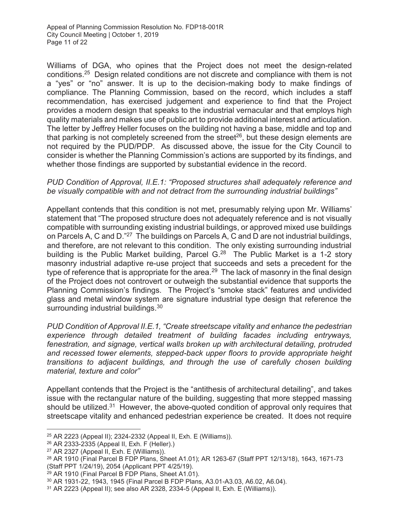Williams of DGA, who opines that the Project does not meet the design-related conditions.25 Design related conditions are not discrete and compliance with them is not a "yes" or "no" answer. It is up to the decision-making body to make findings of compliance. The Planning Commission, based on the record, which includes a staff recommendation, has exercised judgement and experience to find that the Project provides a modern design that speaks to the industrial vernacular and that employs high quality materials and makes use of public art to provide additional interest and articulation. The letter by Jeffrey Heller focuses on the building not having a base, middle and top and that parking is not completely screened from the street<sup>26</sup>, but these design elements are not required by the PUD/PDP. As discussed above, the issue for the City Council to consider is whether the Planning Commission's actions are supported by its findings, and whether those findings are supported by substantial evidence in the record.

#### *PUD Condition of Approval, II.E.1: "Proposed structures shall adequately reference and be visually compatible with and not detract from the surrounding industrial buildings"*

Appellant contends that this condition is not met, presumably relying upon Mr. Williams' statement that "The proposed structure does not adequately reference and is not visually compatible with surrounding existing industrial buildings, or approved mixed use buildings on Parcels A, C and D."27 The buildings on Parcels A, C and D are not industrial buildings, and therefore, are not relevant to this condition. The only existing surrounding industrial building is the Public Market building, Parcel  $G^{28}$  The Public Market is a 1-2 story masonry industrial adaptive re-use project that succeeds and sets a precedent for the type of reference that is appropriate for the area.<sup>29</sup> The lack of masonry in the final design of the Project does not controvert or outweigh the substantial evidence that supports the Planning Commission's findings. The Project's "smoke stack" features and undivided glass and metal window system are signature industrial type design that reference the surrounding industrial buildings.<sup>30</sup>

*PUD Condition of Approval II.E.1, "Create streetscape vitality and enhance the pedestrian experience through detailed treatment of building facades including entryways, fenestration, and signage, vertical walls broken up with architectural detailing, protruded and recessed tower elements, stepped-back upper floors to provide appropriate height transitions to adjacent buildings, and through the use of carefully chosen building material, texture and color"* 

Appellant contends that the Project is the "antithesis of architectural detailing", and takes issue with the rectangular nature of the building, suggesting that more stepped massing should be utilized.<sup>31</sup> However, the above-quoted condition of approval only requires that streetscape vitality and enhanced pedestrian experience be created. It does not require

 $\overline{a}$ 25 AR 2223 (Appeal II); 2324-2332 (Appeal II, Exh. E (Williams)).

<sup>26</sup> AR 2333-2335 (Appeal II, Exh. F (Heller).)

<sup>27</sup> AR 2327 (Appeal II, Exh. E (Williams)).

<sup>28</sup> AR 1910 (Final Parcel B FDP Plans, Sheet A1.01); AR 1263-67 (Staff PPT 12/13/18), 1643, 1671-73 (Staff PPT 1/24/19), 2054 (Applicant PPT 4/25/19).

<sup>29</sup> AR 1910 (Final Parcel B FDP Plans, Sheet A1.01).

<sup>30</sup> AR 1931-22, 1943, 1945 (Final Parcel B FDP Plans, A3.01-A3.03, A6.02, A6.04).

<sup>31</sup> AR 2223 (Appeal II); see also AR 2328, 2334-5 (Appeal II, Exh. E (Williams)).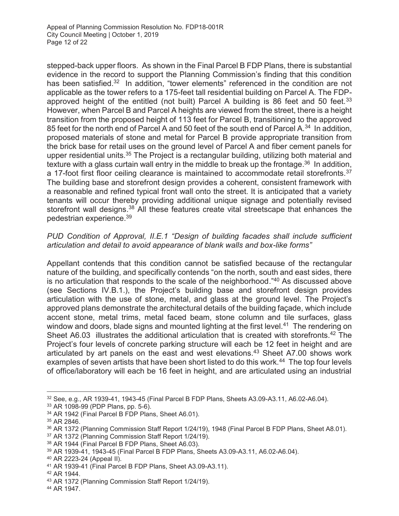stepped-back upper floors. As shown in the Final Parcel B FDP Plans, there is substantial evidence in the record to support the Planning Commission's finding that this condition has been satisfied.<sup>32</sup> In addition, "tower elements" referenced in the condition are not applicable as the tower refers to a 175-feet tall residential building on Parcel A. The FDPapproved height of the entitled (not built) Parcel A building is 86 feet and 50 feet.  $33$ However, when Parcel B and Parcel A heights are viewed from the street, there is a height transition from the proposed height of 113 feet for Parcel B, transitioning to the approved 85 feet for the north end of Parcel A and 50 feet of the south end of Parcel A.<sup>34</sup> In addition, proposed materials of stone and metal for Parcel B provide appropriate transition from the brick base for retail uses on the ground level of Parcel A and fiber cement panels for upper residential units.<sup>35</sup> The Project is a rectangular building, utilizing both material and texture with a glass curtain wall entry in the middle to break up the frontage.<sup>36</sup> In addition, a 17-foot first floor ceiling clearance is maintained to accommodate retail storefronts.<sup>37</sup> The building base and storefront design provides a coherent, consistent framework with a reasonable and refined typical front wall onto the street. It is anticipated that a variety tenants will occur thereby providing additional unique signage and potentially revised storefront wall designs.<sup>38</sup> All these features create vital streetscape that enhances the pedestrian experience.39

### *PUD Condition of Approval, II.E.1 "Design of building facades shall include sufficient articulation and detail to avoid appearance of blank walls and box-like forms"*

Appellant contends that this condition cannot be satisfied because of the rectangular nature of the building, and specifically contends "on the north, south and east sides, there is no articulation that responds to the scale of the neighborhood." 40 As discussed above (see Sections IV.B.1.), the Project's building base and storefront design provides articulation with the use of stone, metal, and glass at the ground level. The Project's approved plans demonstrate the architectural details of the building façade, which include accent stone, metal trims, metal faced beam, stone column and tile surfaces, glass window and doors, blade signs and mounted lighting at the first level.<sup>41</sup> The rendering on Sheet A6.03 illustrates the additional articulation that is created with storefronts.<sup>42</sup> The Project's four levels of concrete parking structure will each be 12 feet in height and are articulated by art panels on the east and west elevations.<sup>43</sup> Sheet A7.00 shows work examples of seven artists that have been short listed to do this work.<sup>44</sup> The top four levels of office/laboratory will each be 16 feet in height, and are articulated using an industrial

 $\overline{a}$ 

40 AR 2223-24 (Appeal II).

<sup>32</sup> See, e.g., AR 1939-41, 1943-45 (Final Parcel B FDP Plans, Sheets A3.09-A3.11, A6.02-A6.04).

<sup>33</sup> AR 1098-99 (PDP Plans, pp. 5-6).

<sup>34</sup> AR 1942 (Final Parcel B FDP Plans, Sheet A6.01).

<sup>35</sup> AR 2846.

<sup>36</sup> AR 1372 (Planning Commission Staff Report 1/24/19), 1948 (Final Parcel B FDP Plans, Sheet A8.01).

<sup>37</sup> AR 1372 (Planning Commission Staff Report 1/24/19).

<sup>38</sup> AR 1944 (Final Parcel B FDP Plans, Sheet A6.03).

<sup>39</sup> AR 1939-41, 1943-45 (Final Parcel B FDP Plans, Sheets A3.09-A3.11, A6.02-A6.04).

<sup>41</sup> AR 1939-41 (Final Parcel B FDP Plans, Sheet A3.09-A3.11).

<sup>42</sup> AR 1944.

<sup>43</sup> AR 1372 (Planning Commission Staff Report 1/24/19).

<sup>44</sup> AR 1947.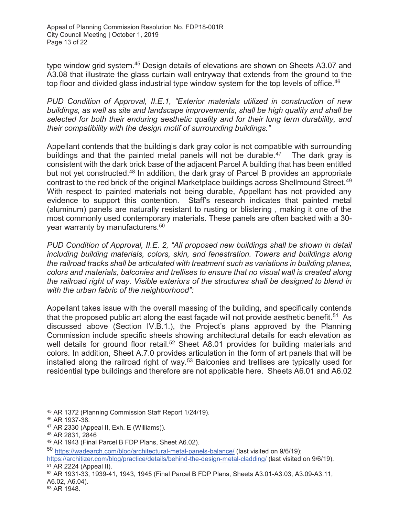type window grid system.<sup>45</sup> Design details of elevations are shown on Sheets A3.07 and A3.08 that illustrate the glass curtain wall entryway that extends from the ground to the top floor and divided glass industrial type window system for the top levels of office.<sup>46</sup>

*PUD Condition of Approval, II.E.1, "Exterior materials utilized in construction of new buildings, as well as site and landscape improvements, shall be high quality and shall be selected for both their enduring aesthetic quality and for their long term durability, and their compatibility with the design motif of surrounding buildings."* 

Appellant contends that the building's dark gray color is not compatible with surrounding buildings and that the painted metal panels will not be durable.<sup>47</sup> The dark gray is consistent with the dark brick base of the adjacent Parcel A building that has been entitled but not yet constructed.<sup>48</sup> In addition, the dark gray of Parcel B provides an appropriate contrast to the red brick of the original Marketplace buildings across Shellmound Street.<sup>49</sup> With respect to painted materials not being durable, Appellant has not provided any evidence to support this contention. Staff's research indicates that painted metal (aluminum) panels are naturally resistant to rusting or blistering , making it one of the most commonly used contemporary materials. These panels are often backed with a 30 year warranty by manufacturers.<sup>50</sup>

*PUD Condition of Approval, II.E. 2, "All proposed new buildings shall be shown in detail including building materials, colors, skin, and fenestration. Towers and buildings along the railroad tracks shall be articulated with treatment such as variations in building planes, colors and materials, balconies and trellises to ensure that no visual wall is created along the railroad right of way. Visible exteriors of the structures shall be designed to blend in with the urban fabric of the neighborhood":* 

Appellant takes issue with the overall massing of the building, and specifically contends that the proposed public art along the east façade will not provide aesthetic benefit.<sup>51</sup> As discussed above (Section IV.B.1.), the Project's plans approved by the Planning Commission include specific sheets showing architectural details for each elevation as well details for ground floor retail.<sup>52</sup> Sheet A8.01 provides for building materials and colors. In addition, Sheet A.7.0 provides articulation in the form of art panels that will be installed along the railroad right of way.<sup>53</sup> Balconies and trellises are typically used for residential type buildings and therefore are not applicable here. Sheets A6.01 and A6.02

<sup>50</sup> https://wadearch.com/blog/architectural-metal-panels-balance/ (last visited on 9/6/19);

 $\overline{a}$ 45 AR 1372 (Planning Commission Staff Report 1/24/19).

<sup>46</sup> AR 1937-38.

<sup>47</sup> AR 2330 (Appeal II, Exh. E (Williams)).

<sup>48</sup> AR 2831, 2846

<sup>49</sup> AR 1943 (Final Parcel B FDP Plans, Sheet A6.02).

https://architizer.com/blog/practice/details/behind-the-design-metal-cladding/ (last visited on 9/6/19). 51 AR 2224 (Appeal II).

<sup>52</sup> AR 1931-33, 1939-41, 1943, 1945 (Final Parcel B FDP Plans, Sheets A3.01-A3.03, A3.09-A3.11, A6.02, A6.04).

<sup>53</sup> AR 1948.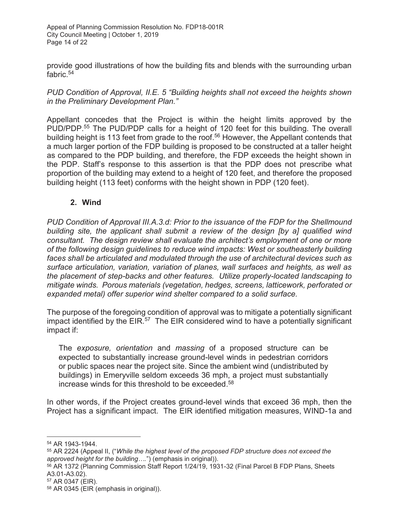provide good illustrations of how the building fits and blends with the surrounding urban fabric.54

*PUD Condition of Approval, II.E. 5 "Building heights shall not exceed the heights shown in the Preliminary Development Plan."*

Appellant concedes that the Project is within the height limits approved by the PUD/PDP.55 The PUD/PDP calls for a height of 120 feet for this building. The overall building height is 113 feet from grade to the roof.<sup>56</sup> However, the Appellant contends that a much larger portion of the FDP building is proposed to be constructed at a taller height as compared to the PDP building, and therefore, the FDP exceeds the height shown in the PDP. Staff's response to this assertion is that the PDP does not prescribe what proportion of the building may extend to a height of 120 feet, and therefore the proposed building height (113 feet) conforms with the height shown in PDP (120 feet).

#### **2. Wind**

*PUD Condition of Approval III.A.3.d: Prior to the issuance of the FDP for the Shellmound building site, the applicant shall submit a review of the design [by a] qualified wind consultant. The design review shall evaluate the architect's employment of one or more of the following design guidelines to reduce wind impacts: West or southeasterly building faces shall be articulated and modulated through the use of architectural devices such as surface articulation, variation, variation of planes, wall surfaces and heights, as well as the placement of step-backs and other features. Utilize properly-located landscaping to mitigate winds. Porous materials (vegetation, hedges, screens, latticework, perforated or expanded metal) offer superior wind shelter compared to a solid surface.* 

The purpose of the foregoing condition of approval was to mitigate a potentially significant impact identified by the  $EIR<sub>.57</sub>$  The EIR considered wind to have a potentially significant impact if:

The *exposure, orientation* and *massing* of a proposed structure can be expected to substantially increase ground-level winds in pedestrian corridors or public spaces near the project site. Since the ambient wind (undistributed by buildings) in Emeryville seldom exceeds 36 mph, a project must substantially increase winds for this threshold to be exceeded.58

In other words, if the Project creates ground-level winds that exceed 36 mph, then the Project has a significant impact. The EIR identified mitigation measures, WIND-1a and

<sup>54</sup> AR 1943-1944.

<sup>55</sup> AR 2224 (Appeal II, ("*While the highest level of the proposed FDP structure does not exceed the approved height for the building….*") (emphasis in original)).

<sup>56</sup> AR 1372 (Planning Commission Staff Report 1/24/19, 1931-32 (Final Parcel B FDP Plans, Sheets A3.01-A3.02).

<sup>57</sup> AR 0347 (EIR).

<sup>58</sup> AR 0345 (EIR (emphasis in original)).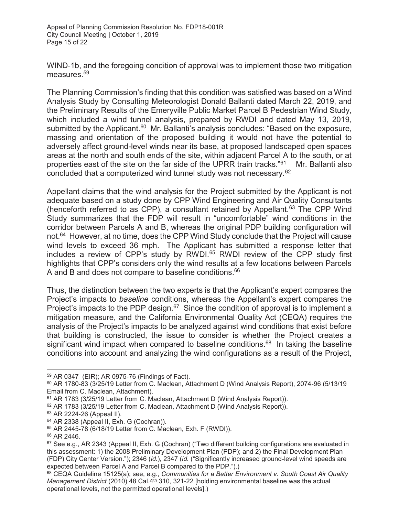WIND-1b, and the foregoing condition of approval was to implement those two mitigation measures.<sup>59</sup>

The Planning Commission's finding that this condition was satisfied was based on a Wind Analysis Study by Consulting Meteorologist Donald Ballanti dated March 22, 2019, and the Preliminary Results of the Emeryville Public Market Parcel B Pedestrian Wind Study, which included a wind tunnel analysis, prepared by RWDI and dated May 13, 2019, submitted by the Applicant.<sup>60</sup> Mr. Ballanti's analysis concludes: "Based on the exposure, massing and orientation of the proposed building it would not have the potential to adversely affect ground-level winds near its base, at proposed landscaped open spaces areas at the north and south ends of the site, within adjacent Parcel A to the south, or at properties east of the site on the far side of the UPRR train tracks."<sup>61</sup> Mr. Ballanti also concluded that a computerized wind tunnel study was not necessary.62

Appellant claims that the wind analysis for the Project submitted by the Applicant is not adequate based on a study done by CPP Wind Engineering and Air Quality Consultants (henceforth referred to as CPP), a consultant retained by Appellant.<sup>63</sup> The CPP Wind Study summarizes that the FDP will result in "uncomfortable" wind conditions in the corridor between Parcels A and B, whereas the original PDP building configuration will not.<sup>64</sup> However, at no time, does the CPP Wind Study conclude that the Project will cause wind levels to exceed 36 mph. The Applicant has submitted a response letter that includes a review of CPP's study by RWDI.<sup>65</sup> RWDI review of the CPP study first highlights that CPP's considers only the wind results at a few locations between Parcels A and B and does not compare to baseline conditions.<sup>66</sup>

Thus, the distinction between the two experts is that the Applicant's expert compares the Project's impacts to *baseline* conditions, whereas the Appellant's expert compares the Project's impacts to the PDP design. $67$  Since the condition of approval is to implement a mitigation measure, and the California Environmental Quality Act (CEQA) requires the analysis of the Project's impacts to be analyzed against wind conditions that exist before that building is constructed, the issue to consider is whether the Project creates a significant wind impact when compared to baseline conditions.<sup>68</sup> In taking the baseline conditions into account and analyzing the wind configurations as a result of the Project,

<sup>59</sup> AR 0347 (EIR); AR 0975-76 (Findings of Fact).

<sup>60</sup> AR 1780-83 (3/25/19 Letter from C. Maclean, Attachment D (Wind Analysis Report), 2074-96 (5/13/19 Email from C. Maclean, Attachment).

<sup>61</sup> AR 1783 (3/25/19 Letter from C. Maclean, Attachment D (Wind Analysis Report)).

<sup>62</sup> AR 1783 (3/25/19 Letter from C. Maclean, Attachment D (Wind Analysis Report)).

<sup>63</sup> AR 2224-26 (Appeal II).

<sup>64</sup> AR 2338 (Appeal II, Exh. G (Cochran)).

<sup>65</sup> AR 2445-78 (6/18/19 Letter from C. Maclean, Exh. F (RWDI)).

<sup>66</sup> AR 2446.

<sup>67</sup> See e.g., AR 2343 (Appeal II, Exh. G (Cochran) ("Two different building configurations are evaluated in this assessment: 1) the 2008 Preliminary Development Plan (PDP); and 2) the Final Development Plan (FDP) City Center Version."); 2346 (*id.*), 2347 (*id.* ("Significantly increased ground-level wind speeds are expected between Parcel A and Parcel B compared to the PDP.").)

<sup>68</sup> CEQA Guideline 15125(a); see, e.g., *Communities for a Better Environment v. South Coast Air Quality Management District* (2010) 48 Cal.4<sup>th</sup> 310, 321-22 [holding environmental baseline was the actual operational levels, not the permitted operational levels].)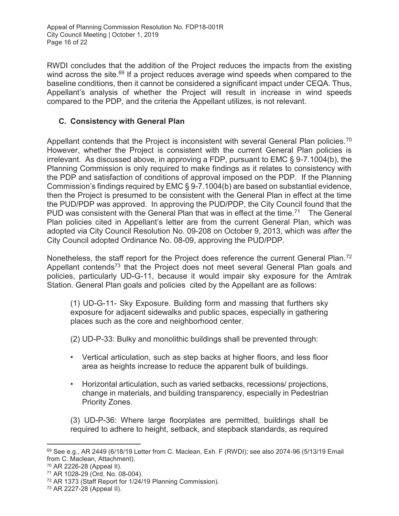RWDI concludes that the addition of the Project reduces the impacts from the existing wind across the site.<sup>69</sup> If a project reduces average wind speeds when compared to the baseline conditions, then it cannot be considered a significant impact under CEQA. Thus, Appellant's analysis of whether the Project will result in increase in wind speeds compared to the PDP, and the criteria the Appellant utilizes, is not relevant.

### **C. Consistency with General Plan**

Appellant contends that the Project is inconsistent with several General Plan policies.<sup>70</sup> However, whether the Project is consistent with the current General Plan policies is irrelevant. As discussed above, in approving a FDP, pursuant to EMC § 9-7.1004(b), the Planning Commission is only required to make findings as it relates to consistency with the PDP and satisfaction of conditions of approval imposed on the PDP. If the Planning Commission's findings required by EMC § 9-7.1004(b) are based on substantial evidence, then the Project is presumed to be consistent with the General Plan in effect at the time the PUD/PDP was approved. In approving the PUD/PDP, the City Council found that the PUD was consistent with the General Plan that was in effect at the time.<sup>71</sup> The General Plan policies cited in Appellant's letter are from the current General Plan, which was adopted via City Council Resolution No. 09-208 on October 9, 2013, which was *after* the City Council adopted Ordinance No. 08-09, approving the PUD/PDP.

Nonetheless, the staff report for the Project does reference the current General Plan.<sup>72</sup> Appellant contends<sup>73</sup> that the Project does not meet several General Plan goals and policies, particularly UD-G-11, because it would impair sky exposure for the Amtrak Station. General Plan goals and policies cited by the Appellant are as follows:

(1) UD-G-11- Sky Exposure. Building form and massing that furthers sky exposure for adjacent sidewalks and public spaces, especially in gathering places such as the core and neighborhood center.

(2) UD-P-33: Bulky and monolithic buildings shall be prevented through:

- Vertical articulation, such as step backs at higher floors, and less floor area as heights increase to reduce the apparent bulk of buildings.
- Horizontal articulation, such as varied setbacks, recessions/ projections, change in materials, and building transparency, especially in Pedestrian Priority Zones.

(3) UD-P-36: Where large floorplates are permitted, buildings shall be required to adhere to height, setback, and stepback standards, as required

<sup>69</sup> See e.g., AR 2449 (6/18/19 Letter from C. Maclean, Exh. F (RWDI); see also 2074-96 (5/13/19 Email from C. Maclean, Attachment).

<sup>70</sup> AR 2226-28 (Appeal II).

<sup>71</sup> AR 1028-29 (Ord. No. 08-004).

<sup>72</sup> AR 1373 (Staff Report for 1/24/19 Planning Commission).

<sup>73</sup> AR 2227-28 (Appeal II).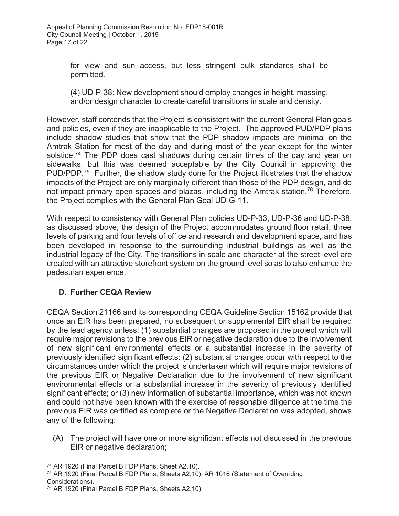for view and sun access, but less stringent bulk standards shall be permitted.

(4) UD-P-38: New development should employ changes in height, massing, and/or design character to create careful transitions in scale and density.

However, staff contends that the Project is consistent with the current General Plan goals and policies, even if they are inapplicable to the Project. The approved PUD/PDP plans include shadow studies that show that the PDP shadow impacts are minimal on the Amtrak Station for most of the day and during most of the year except for the winter solstice.<sup>74</sup> The PDP does cast shadows during certain times of the day and year on sidewalks, but this was deemed acceptable by the City Council in approving the PUD/PDP.75 Further, the shadow study done for the Project illustrates that the shadow impacts of the Project are only marginally different than those of the PDP design, and do not impact primary open spaces and plazas, including the Amtrak station.<sup>76</sup> Therefore, the Project complies with the General Plan Goal UD-G-11.

With respect to consistency with General Plan policies UD-P-33, UD-P-36 and UD-P-38, as discussed above, the design of the Project accommodates ground floor retail, three levels of parking and four levels of office and research and development space, and has been developed in response to the surrounding industrial buildings as well as the industrial legacy of the City. The transitions in scale and character at the street level are created with an attractive storefront system on the ground level so as to also enhance the pedestrian experience.

# **D. Further CEQA Review**

CEQA Section 21166 and its corresponding CEQA Guideline Section 15162 provide that once an EIR has been prepared, no subsequent or supplemental EIR shall be required by the lead agency unless: (1) substantial changes are proposed in the project which will require major revisions to the previous EIR or negative declaration due to the involvement of new significant environmental effects or a substantial increase in the severity of previously identified significant effects: (2) substantial changes occur with respect to the circumstances under which the project is undertaken which will require major revisions of the previous EIR or Negative Declaration due to the involvement of new significant environmental effects or a substantial increase in the severity of previously identified significant effects; or (3) new information of substantial importance, which was not known and could not have been known with the exercise of reasonable diligence at the time the previous EIR was certified as complete or the Negative Declaration was adopted, shows any of the following:

(A) The project will have one or more significant effects not discussed in the previous EIR or negative declaration;

 $\overline{a}$ 74 AR 1920 (Final Parcel B FDP Plans, Sheet A2.10).

<sup>75</sup> AR 1920 (Final Parcel B FDP Plans, Sheets A2.10); AR 1016 (Statement of Overriding Considerations).

<sup>76</sup> AR 1920 (Final Parcel B FDP Plans, Sheets A2.10).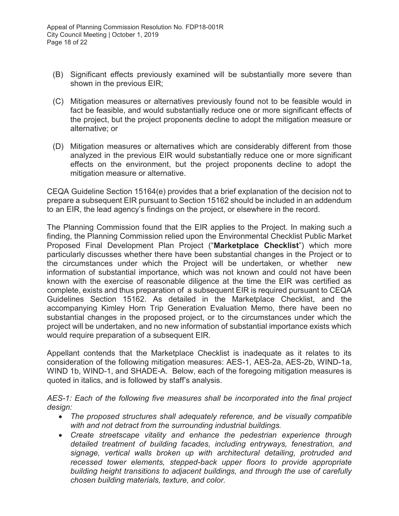- (B) Significant effects previously examined will be substantially more severe than shown in the previous EIR;
- (C) Mitigation measures or alternatives previously found not to be feasible would in fact be feasible, and would substantially reduce one or more significant effects of the project, but the project proponents decline to adopt the mitigation measure or alternative; or
- (D) Mitigation measures or alternatives which are considerably different from those analyzed in the previous EIR would substantially reduce one or more significant effects on the environment, but the project proponents decline to adopt the mitigation measure or alternative.

CEQA Guideline Section 15164(e) provides that a brief explanation of the decision not to prepare a subsequent EIR pursuant to Section 15162 should be included in an addendum to an EIR, the lead agency's findings on the project, or elsewhere in the record.

The Planning Commission found that the EIR applies to the Project. In making such a finding, the Planning Commission relied upon the Environmental Checklist Public Market Proposed Final Development Plan Project ("**Marketplace Checklist**") which more particularly discusses whether there have been substantial changes in the Project or to the circumstances under which the Project will be undertaken, or whether new information of substantial importance, which was not known and could not have been known with the exercise of reasonable diligence at the time the EIR was certified as complete, exists and thus preparation of a subsequent EIR is required pursuant to CEQA Guidelines Section 15162. As detailed in the Marketplace Checklist, and the accompanying Kimley Horn Trip Generation Evaluation Memo, there have been no substantial changes in the proposed project, or to the circumstances under which the project will be undertaken, and no new information of substantial importance exists which would require preparation of a subsequent EIR.

Appellant contends that the Marketplace Checklist is inadequate as it relates to its consideration of the following mitigation measures: AES-1, AES-2a, AES-2b, WIND-1a, WIND 1b, WIND-1, and SHADE-A. Below, each of the foregoing mitigation measures is quoted in italics, and is followed by staff's analysis.

*AES-1: Each of the following five measures shall be incorporated into the final project design:* 

- The proposed structures shall adequately reference, and be visually compatible *with and not detract from the surrounding industrial buildings.*
- Create streetscape vitality and enhance the pedestrian experience through *detailed treatment of building facades, including entryways, fenestration, and signage, vertical walls broken up with architectural detailing, protruded and recessed tower elements, stepped-back upper floors to provide appropriate building height transitions to adjacent buildings, and through the use of carefully chosen building materials, texture, and color.*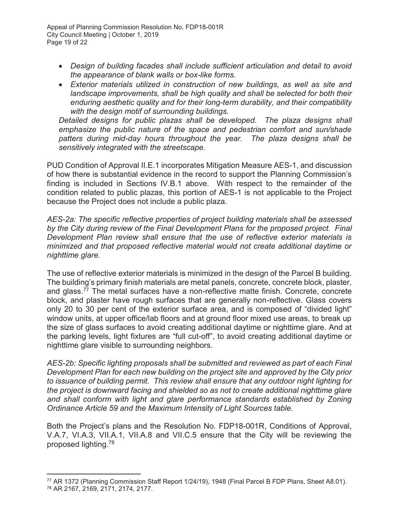- x *Design of building facades shall include sufficient articulation and detail to avoid the appearance of blank walls or box-like forms.*
- **•** Exterior materials utilized in construction of new buildings, as well as site and landscape improvements, shall be high quality and shall be selected for both their *enduring aesthetic quality and for their long-term durability, and their compatibility with the design motif of surrounding buildings.*

*Detailed designs for public plazas shall be developed. The plaza designs shall emphasize the public nature of the space and pedestrian comfort and sun/shade patters during mid-day hours throughout the year. The plaza designs shall be sensitively integrated with the streetscape.* 

PUD Condition of Approval II.E.1 incorporates Mitigation Measure AES-1, and discussion of how there is substantial evidence in the record to support the Planning Commission's finding is included in Sections IV.B.1 above. With respect to the remainder of the condition related to public plazas, this portion of AES-1 is not applicable to the Project because the Project does not include a public plaza.

*AES-2a: The specific reflective properties of project building materials shall be assessed by the City during review of the Final Development Plans for the proposed project. Final Development Plan review shall ensure that the use of reflective exterior materials is minimized and that proposed reflective material would not create additional daytime or nighttime glare.* 

The use of reflective exterior materials is minimized in the design of the Parcel B building. The building's primary finish materials are metal panels, concrete, concrete block, plaster, and glass.77 The metal surfaces have a non-reflective matte finish. Concrete, concrete block, and plaster have rough surfaces that are generally non-reflective. Glass covers only 20 to 30 per cent of the exterior surface area, and is composed of "divided light" window units, at upper office/lab floors and at ground floor mixed use areas, to break up the size of glass surfaces to avoid creating additional daytime or nighttime glare. And at the parking levels, light fixtures are "full cut-off", to avoid creating additional daytime or nighttime glare visible to surrounding neighbors.

*AES-2b: Specific lighting proposals shall be submitted and reviewed as part of each Final Development Plan for each new building on the project site and approved by the City prior to issuance of building permit. This review shall ensure that any outdoor night lighting for the project is downward facing and shielded so as not to create additional nighttime glare*  and shall conform with light and glare performance standards established by Zoning *Ordinance Article 59 and the Maximum Intensity of Light Sources table.* 

Both the Project's plans and the Resolution No. FDP18-001R, Conditions of Approval, V.A.7, VI.A.3, VII.A.1, VII.A.8 and VII.C.5 ensure that the City will be reviewing the proposed lighting.78

<sup>77</sup> AR 1372 (Planning Commission Staff Report 1/24/19), 1948 (Final Parcel B FDP Plans, Sheet A8.01). 78 AR 2167, 2169, 2171, 2174, 2177.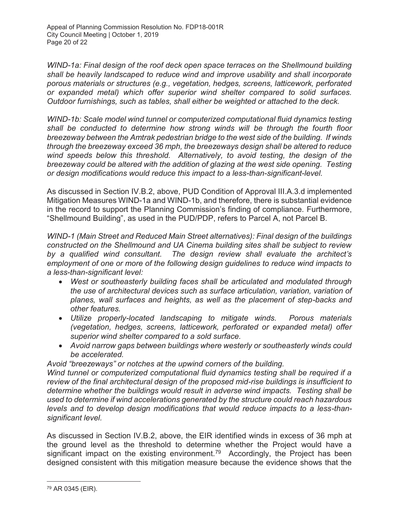Appeal of Planning Commission Resolution No. FDP18-001R City Council Meeting | October 1, 2019 Page 20 of 22

*WIND-1a: Final design of the roof deck open space terraces on the Shellmound building shall be heavily landscaped to reduce wind and improve usability and shall incorporate porous materials or structures (e.g., vegetation, hedges, screens, latticework, perforated or expanded metal) which offer superior wind shelter compared to solid surfaces. Outdoor furnishings, such as tables, shall either be weighted or attached to the deck.* 

*WIND-1b: Scale model wind tunnel or computerized computational fluid dynamics testing shall be conducted to determine how strong winds will be through the fourth floor breezeway between the Amtrak pedestrian bridge to the west side of the building. If winds through the breezeway exceed 36 mph, the breezeways design shall be altered to reduce wind speeds below this threshold. Alternatively, to avoid testing, the design of the breezeway could be altered with the addition of glazing at the west side opening. Testing or design modifications would reduce this impact to a less-than-significant-level.* 

As discussed in Section IV.B.2, above, PUD Condition of Approval III.A.3.d implemented Mitigation Measures WIND-1a and WIND-1b, and therefore, there is substantial evidence in the record to support the Planning Commission's finding of compliance. Furthermore, "Shellmound Building", as used in the PUD/PDP, refers to Parcel A, not Parcel B.

*WIND-1 (Main Street and Reduced Main Street alternatives): Final design of the buildings constructed on the Shellmound and UA Cinema building sites shall be subject to review by a qualified wind consultant. The design review shall evaluate the architect's employment of one or more of the following design guidelines to reduce wind impacts to a less-than-significant level:* 

- x *West or southeasterly building faces shall be articulated and modulated through the use of architectural devices such as surface articulation, variation, variation of planes, wall surfaces and heights, as well as the placement of step-backs and other features.*
- **•** Utilize properly-located landscaping to mitigate winds. Porous materials *(vegetation, hedges, screens, latticework, perforated or expanded metal) offer superior wind shelter compared to a sold surface.*
- x *Avoid narrow gaps between buildings where westerly or southeasterly winds could be accelerated.*

*Avoid "breezeways" or notches at the upwind corners of the building.* 

*Wind tunnel or computerized computational fluid dynamics testing shall be required if a review of the final architectural design of the proposed mid-rise buildings is insufficient to determine whether the buildings would result in adverse wind impacts. Testing shall be used to determine if wind accelerations generated by the structure could reach hazardous levels and to develop design modifications that would reduce impacts to a less-thansignificant level.* 

As discussed in Section IV.B.2, above, the EIR identified winds in excess of 36 mph at the ground level as the threshold to determine whether the Project would have a significant impact on the existing environment.<sup>79</sup> Accordingly, the Project has been designed consistent with this mitigation measure because the evidence shows that the

 $\overline{a}$ 79 AR 0345 (EIR).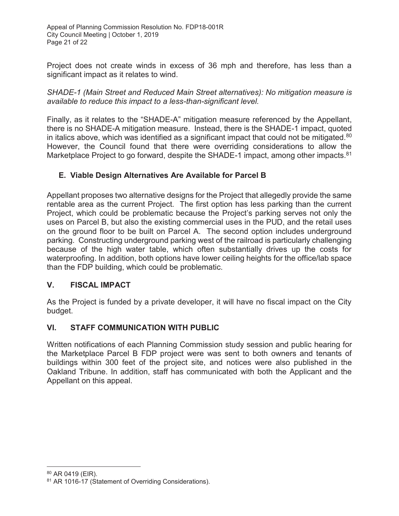Project does not create winds in excess of 36 mph and therefore, has less than a significant impact as it relates to wind.

*SHADE-1 (Main Street and Reduced Main Street alternatives): No mitigation measure is available to reduce this impact to a less-than-significant level.* 

Finally, as it relates to the "SHADE-A" mitigation measure referenced by the Appellant, there is no SHADE-A mitigation measure. Instead, there is the SHADE-1 impact, quoted in italics above, which was identified as a significant impact that could not be mitigated.<sup>80</sup> However, the Council found that there were overriding considerations to allow the Marketplace Project to go forward, despite the SHADE-1 impact, among other impacts.<sup>81</sup>

#### **E. Viable Design Alternatives Are Available for Parcel B**

Appellant proposes two alternative designs for the Project that allegedly provide the same rentable area as the current Project. The first option has less parking than the current Project, which could be problematic because the Project's parking serves not only the uses on Parcel B, but also the existing commercial uses in the PUD, and the retail uses on the ground floor to be built on Parcel A. The second option includes underground parking. Constructing underground parking west of the railroad is particularly challenging because of the high water table, which often substantially drives up the costs for waterproofing. In addition, both options have lower ceiling heights for the office/lab space than the FDP building, which could be problematic.

#### **V. FISCAL IMPACT**

As the Project is funded by a private developer, it will have no fiscal impact on the City budget.

# **VI. STAFF COMMUNICATION WITH PUBLIC**

Written notifications of each Planning Commission study session and public hearing for the Marketplace Parcel B FDP project were was sent to both owners and tenants of buildings within 300 feet of the project site, and notices were also published in the Oakland Tribune. In addition, staff has communicated with both the Applicant and the Appellant on this appeal.

<sup>80</sup> AR 0419 (EIR).

<sup>81</sup> AR 1016-17 (Statement of Overriding Considerations).